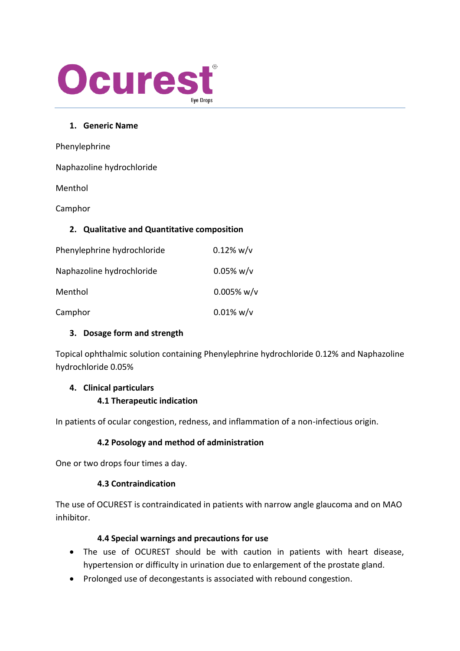

#### **1. Generic Name**

| Phenylephrine                               |               |
|---------------------------------------------|---------------|
| Naphazoline hydrochloride                   |               |
| Menthol                                     |               |
| Camphor                                     |               |
| 2. Qualitative and Quantitative composition |               |
| Phenylephrine hydrochloride                 | $0.12\%$ w/v  |
| Naphazoline hydrochloride                   | $0.05\%$ w/v  |
| Menthol                                     | $0.005\%$ w/v |
| Camphor                                     | $0.01\%$ w/v  |

#### **3. Dosage form and strength**

Topical ophthalmic solution containing Phenylephrine hydrochloride 0.12% and Naphazoline hydrochloride 0.05%

#### **4. Clinical particulars**

#### **4.1 Therapeutic indication**

In patients of ocular congestion, redness, and inflammation of a non-infectious origin.

#### **4.2 Posology and method of administration**

One or two drops four times a day.

#### **4.3 Contraindication**

The use of OCUREST is contraindicated in patients with narrow angle glaucoma and on MAO inhibitor.

#### **4.4 Special warnings and precautions for use**

- The use of OCUREST should be with caution in patients with heart disease, hypertension or difficulty in urination due to enlargement of the prostate gland.
- Prolonged use of decongestants is associated with rebound congestion.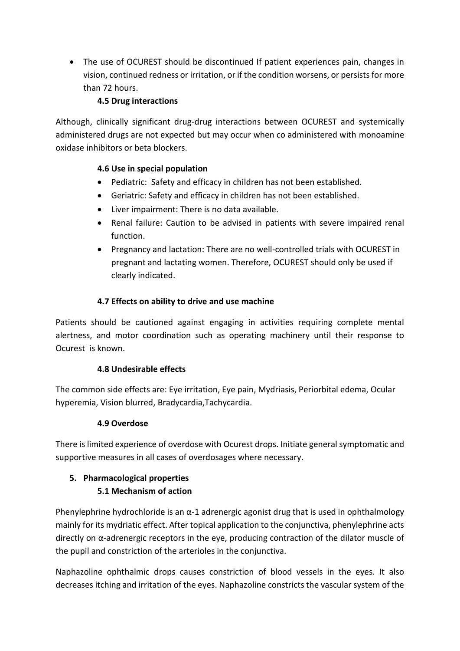• The use of OCUREST should be discontinued If patient experiences pain, changes in vision, continued redness or irritation, or if the condition worsens, or persists for more than 72 hours.

## **4.5 Drug interactions**

Although, clinically significant drug-drug interactions between OCUREST and systemically administered drugs are not expected but may occur when co administered with monoamine oxidase inhibitors or beta blockers.

## **4.6 Use in special population**

- Pediatric: Safety and efficacy in children has not been established.
- Geriatric: Safety and efficacy in children has not been established.
- Liver impairment: There is no data available.
- Renal failure: Caution to be advised in patients with severe impaired renal function.
- Pregnancy and lactation: There are no well-controlled trials with OCUREST in pregnant and lactating women. Therefore, OCUREST should only be used if clearly indicated.

# **4.7 Effects on ability to drive and use machine**

Patients should be cautioned against engaging in activities requiring complete mental alertness, and motor coordination such as operating machinery until their response to Ocurest is known.

## **4.8 Undesirable effects**

The common side effects are: Eye irritation, Eye pain, Mydriasis, Periorbital edema, Ocular hyperemia, Vision blurred, Bradycardia,Tachycardia.

## **4.9 Overdose**

There is limited experience of overdose with Ocurest drops. Initiate general symptomatic and supportive measures in all cases of overdosages where necessary.

## **5. Pharmacological properties 5.1 Mechanism of action**

Phenylephrine hydrochloride is an  $\alpha$ -1 adrenergic agonist drug that is used in ophthalmology mainly for its mydriatic effect. After topical application to the conjunctiva, phenylephrine acts directly on α-adrenergic receptors in the eye, producing contraction of the dilator muscle of the pupil and constriction of the arterioles in the conjunctiva.

Naphazoline ophthalmic drops causes constriction of blood vessels in the eyes. It also decreases itching and irritation of the eyes. Naphazoline constricts the vascular system of the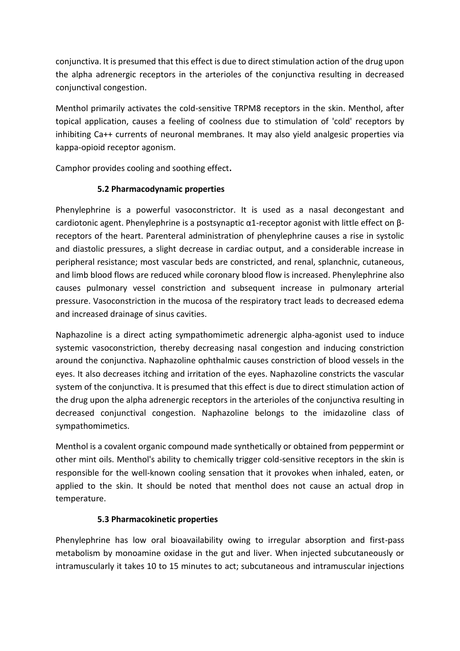conjunctiva. It is presumed that this effect is due to direct stimulation action of the drug upon the alpha adrenergic receptors in the arterioles of the conjunctiva resulting in decreased conjunctival congestion.

Menthol primarily activates the cold-sensitive TRPM8 receptors in the skin. Menthol, after topical application, causes a feeling of coolness due to stimulation of 'cold' receptors by inhibiting Ca++ currents of neuronal membranes. It may also yield analgesic properties via kappa-opioid receptor agonism.

Camphor provides cooling and soothing effect**.**

## **5.2 Pharmacodynamic properties**

Phenylephrine is a powerful vasoconstrictor. It is used as a nasal decongestant and cardiotonic agent. Phenylephrine is a postsynaptic α1-receptor agonist with little effect on βreceptors of the heart. Parenteral administration of phenylephrine causes a rise in systolic and diastolic pressures, a slight decrease in cardiac output, and a considerable increase in peripheral resistance; most vascular beds are constricted, and renal, splanchnic, cutaneous, and limb blood flows are reduced while coronary blood flow is increased. Phenylephrine also causes pulmonary vessel constriction and subsequent increase in pulmonary arterial pressure. Vasoconstriction in the mucosa of the respiratory tract leads to decreased edema and increased drainage of sinus cavities.

Naphazoline is a direct acting sympathomimetic adrenergic alpha-agonist used to induce systemic vasoconstriction, thereby decreasing nasal congestion and inducing constriction around the conjunctiva. Naphazoline ophthalmic causes constriction of blood vessels in the eyes. It also decreases itching and irritation of the eyes. Naphazoline constricts the vascular system of the conjunctiva. It is presumed that this effect is due to direct stimulation action of the drug upon the alpha adrenergic receptors in the arterioles of the conjunctiva resulting in decreased conjunctival congestion. Naphazoline belongs to the imidazoline class of sympathomimetics.

Menthol is a covalent organic compound made synthetically or obtained from peppermint or other mint oils. Menthol's ability to chemically trigger cold-sensitive receptors in the skin is responsible for the well-known cooling sensation that it provokes when inhaled, eaten, or applied to the skin. It should be noted that menthol does not cause an actual drop in temperature.

#### **5.3 Pharmacokinetic properties**

Phenylephrine has low oral bioavailability owing to irregular absorption and first-pass metabolism by monoamine oxidase in the gut and liver. When injected subcutaneously or intramuscularly it takes 10 to 15 minutes to act; subcutaneous and intramuscular injections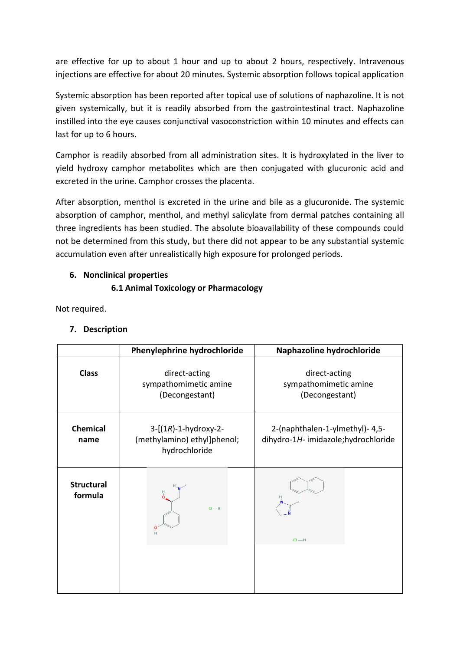are effective for up to about 1 hour and up to about 2 hours, respectively. Intravenous injections are effective for about 20 minutes. Systemic absorption follows topical application

Systemic absorption has been reported after topical use of solutions of naphazoline. It is not given systemically, but it is readily absorbed from the gastrointestinal tract. Naphazoline instilled into the eye causes conjunctival vasoconstriction within 10 minutes and effects can last for up to 6 hours.

Camphor is readily absorbed from all administration sites. It is hydroxylated in the liver to yield hydroxy camphor metabolites which are then conjugated with glucuronic acid and excreted in the urine. Camphor crosses the placenta.

After absorption, menthol is excreted in the urine and bile as a glucuronide. The systemic absorption of camphor, menthol, and methyl salicylate from dermal patches containing all three ingredients has been studied. The absolute bioavailability of these compounds could not be determined from this study, but there did not appear to be any substantial systemic accumulation even after unrealistically high exposure for prolonged periods.

### **6. Nonclinical properties**

## **6.1 Animal Toxicology or Pharmacology**

Not required.

#### **7. Description**

|                              | Phenylephrine hydrochloride                                                   | Naphazoline hydrochloride                                               |
|------------------------------|-------------------------------------------------------------------------------|-------------------------------------------------------------------------|
| <b>Class</b>                 | direct-acting<br>sympathomimetic amine<br>(Decongestant)                      | direct-acting<br>sympathomimetic amine<br>(Decongestant)                |
| <b>Chemical</b><br>name      | $3 - [(1R) - 1 - hydroxy-2 -$<br>(methylamino) ethyl]phenol;<br>hydrochloride | 2-(naphthalen-1-ylmethyl)- 4,5-<br>dihydro-1H- imidazole; hydrochloride |
| <b>Structural</b><br>formula | $CI-H$                                                                        | н<br>$CI - H$                                                           |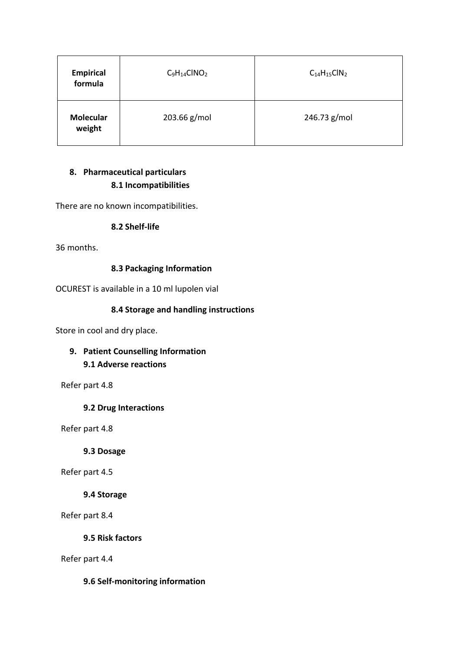| <b>Empirical</b><br>formula | $C_9H_{14}CINO_2$ | $C_{14}H_{15}CIN_2$ |
|-----------------------------|-------------------|---------------------|
| <b>Molecular</b><br>weight  | 203.66 g/mol      | 246.73 g/mol        |

# **8. Pharmaceutical particulars 8.1 Incompatibilities**

There are no known incompatibilities.

### **8.2 Shelf-life**

36 months.

### **8.3 Packaging Information**

OCUREST is available in a 10 ml lupolen vial

### **8.4 Storage and handling instructions**

Store in cool and dry place.

# **9. Patient Counselling Information 9.1 Adverse reactions**

Refer part 4.8

#### **9.2 Drug Interactions**

Refer part 4.8

**9.3 Dosage**

Refer part 4.5

#### **9.4 Storage**

Refer part 8.4

**9.5 Risk factors**

Refer part 4.4

#### **9.6 Self-monitoring information**